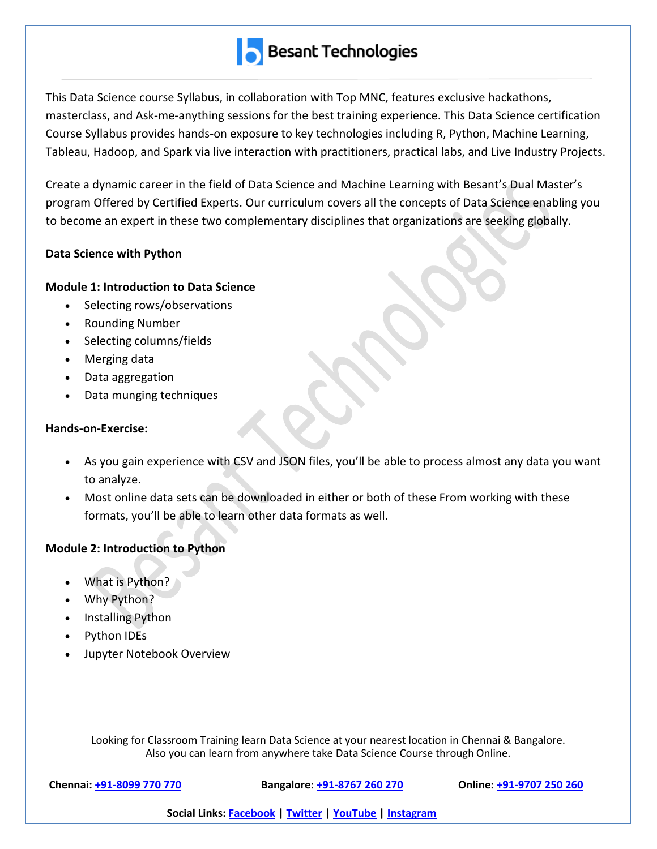This Data Science course Syllabus, in collaboration with Top MNC, features exclusive hackathons, masterclass, and Ask-me-anything sessions for the best training experience. This Data Science certification Course Syllabus provides hands-on exposure to key technologies including R, Python, Machine Learning, Tableau, Hadoop, and Spark via live interaction with practitioners, practical labs, and Live Industry Projects.

Create a dynamic career in the field of Data Science and Machine Learning with Besant's Dual Master's program Offered by Certified Experts. Our curriculum covers all the concepts of Data Science enabling you to become an expert in these two complementary disciplines that organizations are seeking globally.

# **Data Science with Python**

# **Module 1: Introduction to Data Science**

- Selecting rows/observations
- Rounding Number
- Selecting columns/fields
- Merging data
- Data aggregation
- Data munging techniques

# **Hands-on-Exercise:**

- As you gain experience with CSV and JSON files, you'll be able to process almost any data you want to analyze.
- Most online data sets can be downloaded in either or both of these From working with these formats, you'll be able to learn other data formats as well.

# **Module 2: Introduction to Python**

- What is Python?
- Why Python?
- Installing Python
- Python IDEs
- Jupyter Notebook Overview

Looking for Classroom Training learn Data Science at your nearest location in Chennai & Bangalore. Also you can learn from anywhere take Data Science Course through Online.

**Chennai: +91-8099 770 770 Bangalore: +91-8767 260 270 Online: +91-9707 250 260**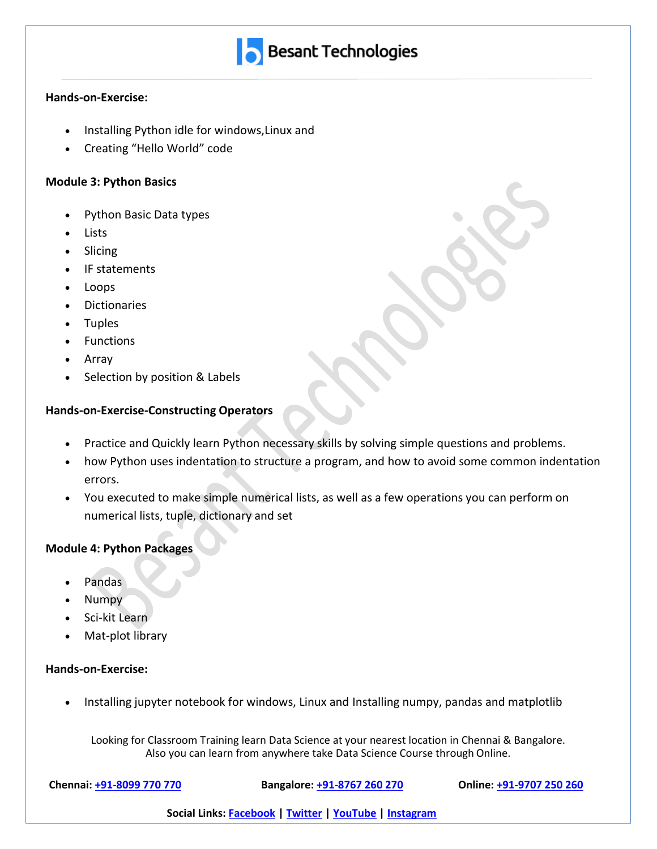#### **Hands-on-Exercise:**

- Installing Python idle for windows,Linux and
- Creating "Hello World" code

#### **Module 3: Python Basics**

- Python Basic Data types
- Lists
- Slicing
- IF statements
- Loops
- **Dictionaries**
- Tuples
- Functions
- Array
- Selection by position & Labels

#### **Hands-on-Exercise-Constructing Operators**

- Practice and Quickly learn Python necessary skills by solving simple questions and problems.
- how Python uses indentation to structure a program, and how to avoid some common indentation errors.
- You executed to make simple numerical lists, as well as a few operations you can perform on numerical lists, tuple, dictionary and set

#### **Module 4: Python Packages**

- Pandas
- Numpy
- Sci-kit Learn
- Mat-plot library

#### **Hands-on-Exercise:**

• Installing jupyter notebook for windows, Linux and Installing numpy, pandas and matplotlib

Looking for Classroom Training learn Data Science at your nearest location in Chennai & Bangalore. Also you can learn from anywhere take Data Science Course through Online.

**Chennai: +91-8099 770 770 Bangalore: +91-8767 260 270 Online: +91-9707 250 260**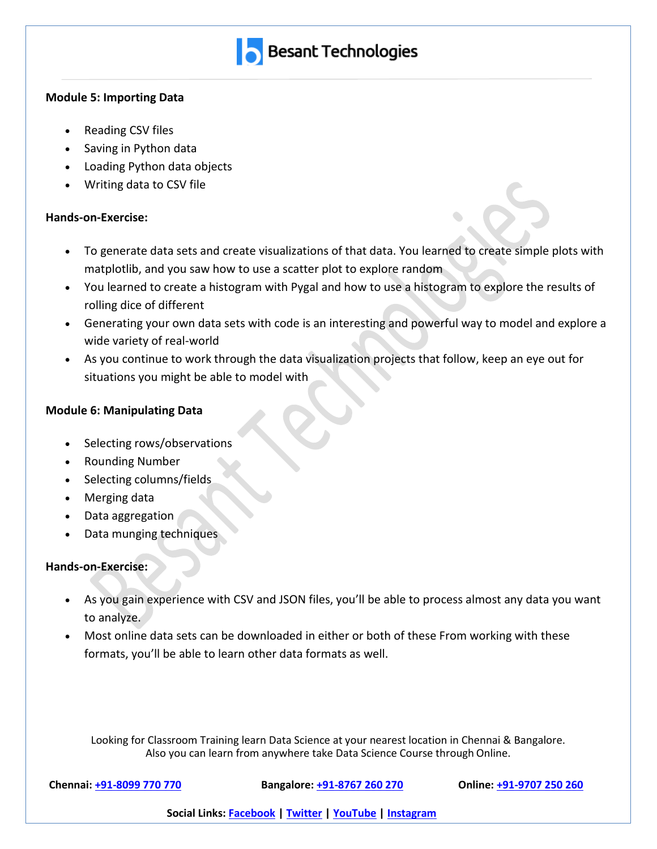

#### **Module 5: Importing Data**

- Reading CSV files
- Saving in Python data
- Loading Python data objects
- Writing data to CSV file

### **Hands-on-Exercise:**

- To generate data sets and create visualizations of that data. You learned to create simple plots with matplotlib, and you saw how to use a scatter plot to explore random
- You learned to create a histogram with Pygal and how to use a histogram to explore the results of rolling dice of different
- Generating your own data sets with code is an interesting and powerful way to model and explore a wide variety of real-world
- As you continue to work through the data visualization projects that follow, keep an eye out for situations you might be able to model with

# **Module 6: Manipulating Data**

- Selecting rows/observations
- Rounding Number
- Selecting columns/fields
- Merging data
- Data aggregation
- Data munging techniques

# **Hands-on-Exercise:**

- As you gain experience with CSV and JSON files, you'll be able to process almost any data you want to analyze.
- Most online data sets can be downloaded in either or both of these From working with these formats, you'll be able to learn other data formats as well.

Looking for Classroom Training learn Data Science at your nearest location in Chennai & Bangalore. Also you can learn from anywhere take Data Science Course through Online.

**Chennai: +91-8099 770 770 Bangalore: +91-8767 260 270 Online: +91-9707 250 260**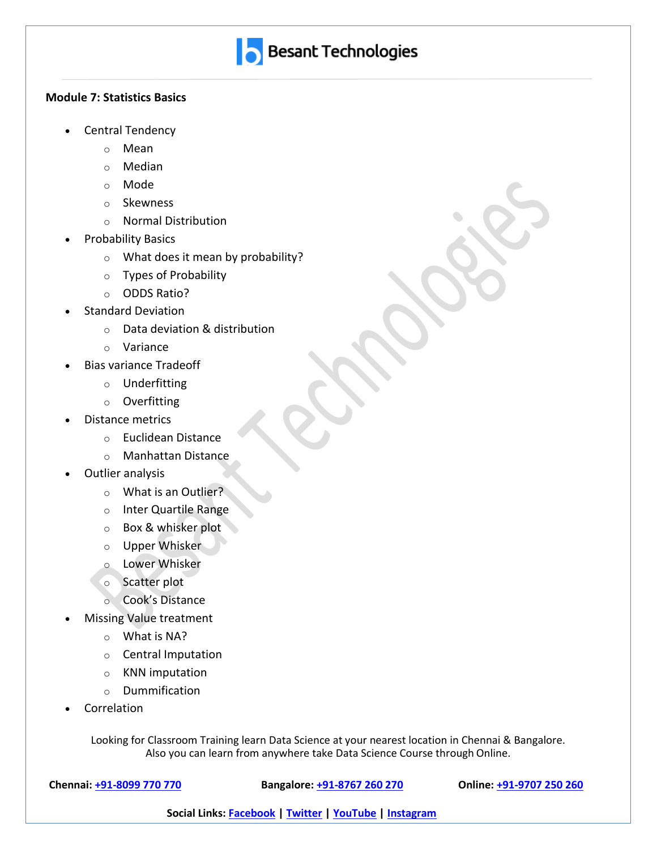

#### **Module 7: Statistics Basics**

- Central Tendency
	- o Mean
	- o Median
	- o Mode
	- o Skewness
	- o Normal Distribution
- Probability Basics
	- o What does it mean by probability?
	- o Types of Probability
	- o ODDS Ratio?
- Standard Deviation
	- o Data deviation & distribution
	- o Variance
- Bias variance Tradeoff
	- o Underfitting
	- o Overfitting
- Distance metrics
	- o Euclidean Distance
	- o Manhattan Distance
- Outlier analysis
	- o What is an Outlier?
	- o Inter Quartile Range
	- o Box & whisker plot
	- o Upper Whisker
	- o Lower Whisker
	- o Scatter plot
	- o Cook's Distance
- Missing Value treatment
	- o What is NA?
	- o Central Imputation
	- o KNN imputation
	- o Dummification
- **Correlation**

Looking for Classroom Training learn Data Science at your nearest location in Chennai & Bangalore. Also you can learn from anywhere take Data Science Course through Online.

**Chennai: +91-8099 770 770 Bangalore: +91-8767 260 270 Online: +91-9707 250 260**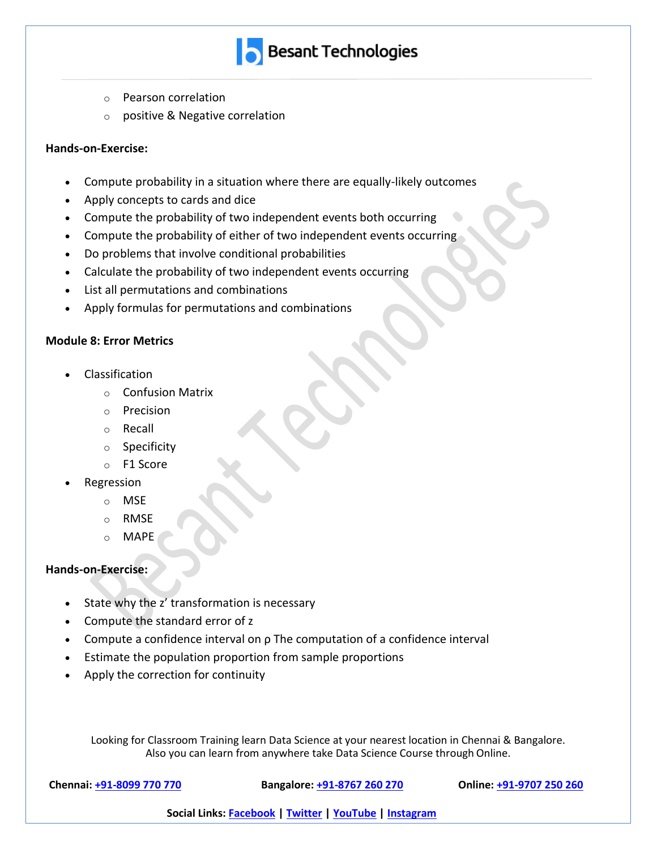- **Besant Technologies**
- o Pearson correlation
- o positive & Negative correlation

#### **Hands-on-Exercise:**

- Compute probability in a situation where there are equally-likely outcomes
- Apply concepts to cards and dice
- Compute the probability of two independent events both occurring
- Compute the probability of either of two independent events occurring
- Do problems that involve conditional probabilities
- Calculate the probability of two independent events occurring
- List all permutations and combinations
- Apply formulas for permutations and combinations

#### **Module 8: Error Metrics**

- Classification
	- o Confusion Matrix
	- o Precision
	- o Recall
	- o Specificity
	- o F1 Score
- Regression
	- o MSE
	- o RMSE
	- o MAPE

#### **Hands-on-Exercise:**

- State why the z' transformation is necessary
- Compute the standard error of z
- Compute a confidence interval on ρ The computation of a confidence interval
- Estimate the population proportion from sample proportions
- Apply the correction for continuity

Looking for Classroom Training learn Data Science at your nearest location in Chennai & Bangalore. Also you can learn from anywhere take Data Science Course through Online.

**Chennai: +91-8099 770 770 Bangalore: +91-8767 260 270 Online: +91-9707 250 260**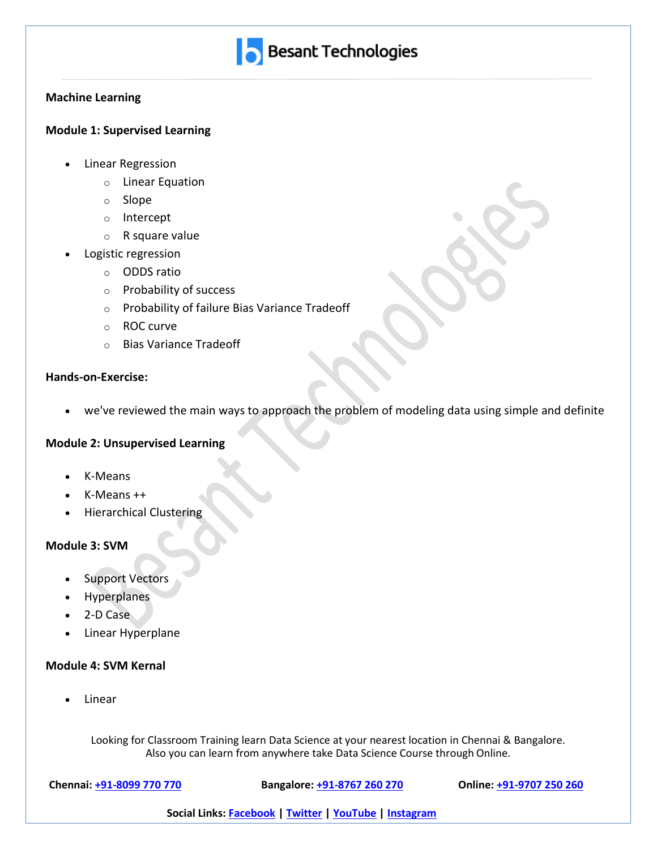

#### **Machine Learning**

# **Module 1: Supervised Learning**

- Linear Regression
	- o Linear Equation
	- o Slope
	- o Intercept
	- o R square value
- Logistic regression
	- o ODDS ratio
	- o Probability of success
	- o Probability of failure Bias Variance Tradeoff
	- o ROC curve
	- o Bias Variance Tradeoff

#### **Hands-on-Exercise:**

• we've reviewed the main ways to approach the problem of modeling data using simple and definite

#### **Module 2: Unsupervised Learning**

- K-Means
- $K$ -Means  $++$
- Hierarchical Clustering

#### **Module 3: SVM**

- Support Vectors
- **Hyperplanes**
- 2-D Case
- Linear Hyperplane

#### **Module 4: SVM Kernal**

• Linear

Looking for Classroom Training learn Data Science at your nearest location in Chennai & Bangalore. Also you can learn from anywhere take Data Science Course through Online.

**Chennai: +91-8099 770 770 Bangalore: +91-8767 260 270 Online: +91-9707 250 260**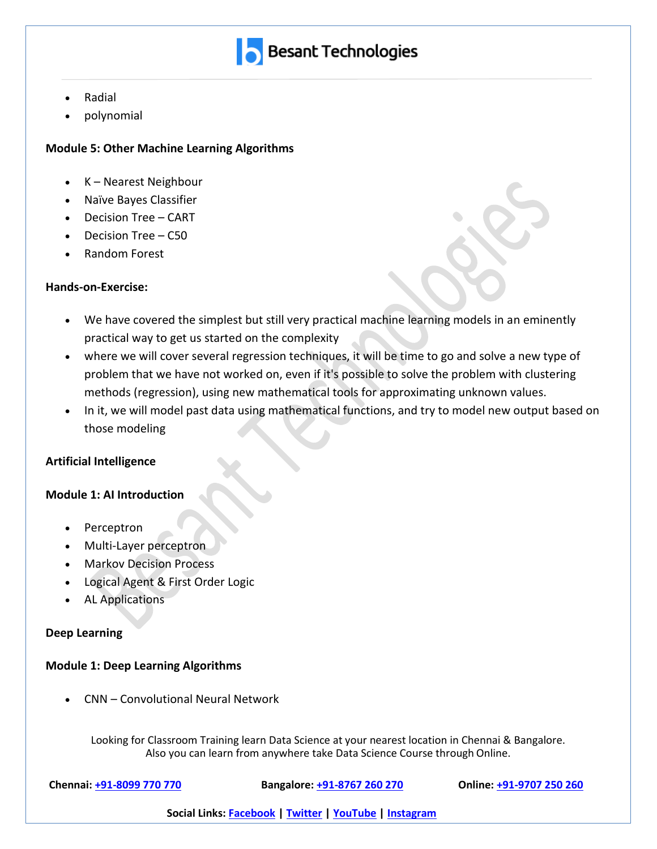

- Radial
- polynomial

### **Module 5: Other Machine Learning Algorithms**

- K Nearest Neighbour
- Naïve Bayes Classifier
- Decision Tree CART
- Decision Tree C50
- Random Forest

#### **Hands-on-Exercise:**

- We have covered the simplest but still very practical machine learning models in an eminently practical way to get us started on the complexity
- where we will cover several regression techniques, it will be time to go and solve a new type of problem that we have not worked on, even if it's possible to solve the problem with clustering methods (regression), using new mathematical tools for approximating unknown values.
- In it, we will model past data using mathematical functions, and try to model new output based on those modeling

# **Artificial Intelligence**

# **Module 1: AI Introduction**

- Perceptron
- Multi-Layer perceptron
- Markov Decision Process
- Logical Agent & First Order Logic
- AL Applications

#### **Deep Learning**

#### **Module 1: Deep Learning Algorithms**

• CNN – Convolutional Neural Network

Looking for Classroom Training learn Data Science at your nearest location in Chennai & Bangalore. Also you can learn from anywhere take Data Science Course through Online.

**Chennai: +91-8099 770 770 Bangalore: +91-8767 260 270 Online: +91-9707 250 260**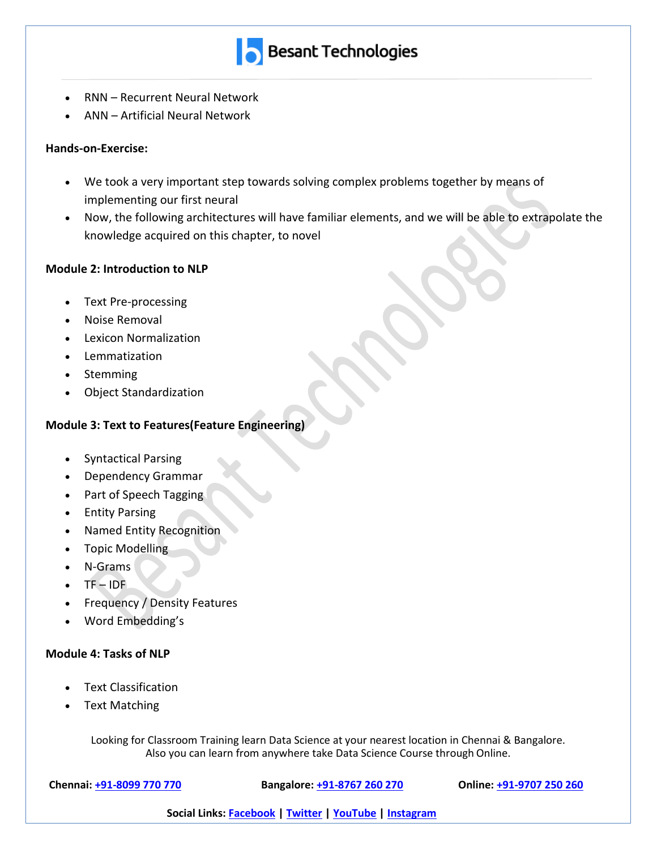

- RNN Recurrent Neural Network
- ANN Artificial Neural Network

### **Hands-on-Exercise:**

- We took a very important step towards solving complex problems together by means of implementing our first neural
- Now, the following architectures will have familiar elements, and we will be able to extrapolate the knowledge acquired on this chapter, to novel

#### **Module 2: Introduction to NLP**

- Text Pre-processing
- Noise Removal
- Lexicon Normalization
- Lemmatization
- Stemming
- Object Standardization

# **Module 3: Text to Features(Feature Engineering)**

- Syntactical Parsing
- Dependency Grammar
- Part of Speech Tagging
- Entity Parsing
- Named Entity Recognition
- Topic Modelling
- N-Grams
- TF IDF
- Frequency / Density Features
- Word Embedding's

# **Module 4: Tasks of NLP**

- Text Classification
- Text Matching

Looking for Classroom Training learn Data Science at your nearest location in Chennai & Bangalore. Also you can learn from anywhere take Data Science Course through Online.

**Chennai: +91-8099 770 770 Bangalore: +91-8767 260 270 Online: +91-9707 250 260**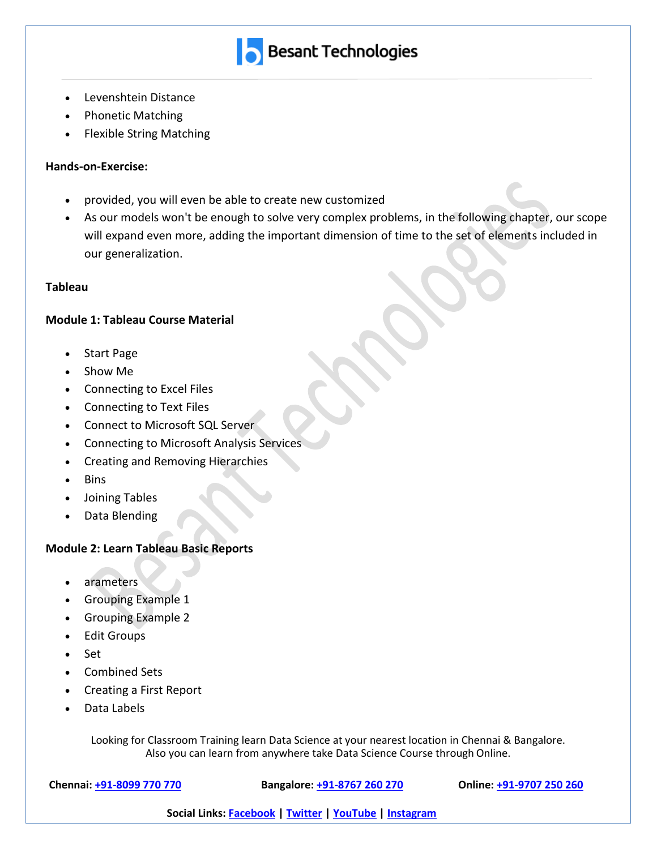

- Levenshtein Distance
- Phonetic Matching
- Flexible String Matching

#### **Hands-on-Exercise:**

- provided, you will even be able to create new customized
- As our models won't be enough to solve very complex problems, in the following chapter, our scope will expand even more, adding the important dimension of time to the set of elements included in our generalization.

#### **Tableau**

#### **Module 1: Tableau Course Material**

- Start Page
- Show Me
- Connecting to Excel Files
- Connecting to Text Files
- Connect to Microsoft SQL Server
- Connecting to Microsoft Analysis Services
- Creating and Removing Hierarchies
- Bins
- Joining Tables
- Data Blending

# **Module 2: Learn Tableau Basic Reports**

- arameters
- Grouping Example 1
- Grouping Example 2
- Edit Groups
- Set
- Combined Sets
- Creating a First Report
- Data Labels

Looking for Classroom Training learn Data Science at your nearest location in Chennai & Bangalore. Also you can learn from anywhere take Data Science Course through Online.

**Chennai: +91-8099 770 770 Bangalore: +91-8767 260 270 Online: +91-9707 250 260**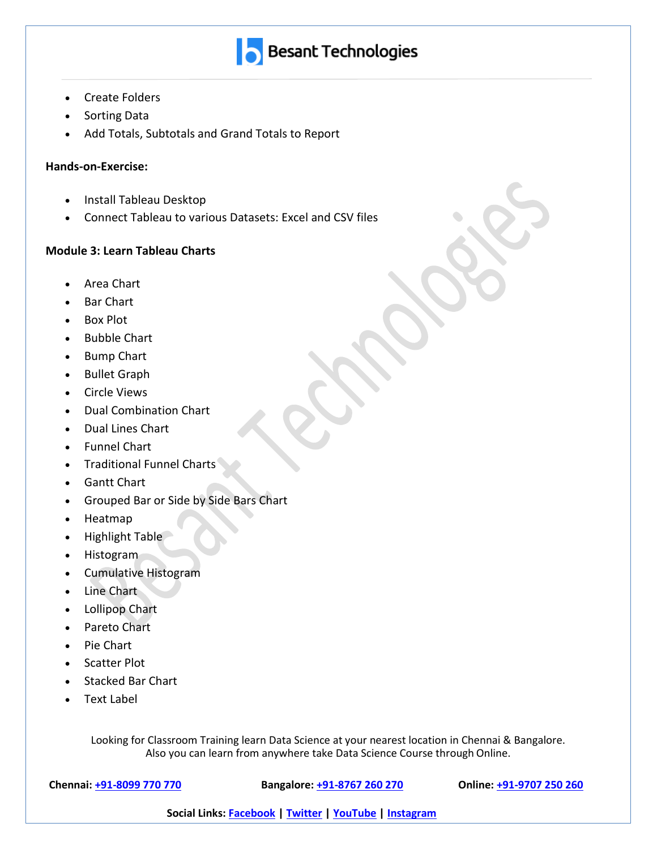

- Create Folders
- Sorting Data
- Add Totals, Subtotals and Grand Totals to Report

#### **Hands-on-Exercise:**

- Install Tableau Desktop
- Connect Tableau to various Datasets: Excel and CSV files

#### **Module 3: Learn Tableau Charts**

- Area Chart
- Bar Chart
- Box Plot
- Bubble Chart
- Bump Chart
- Bullet Graph
- Circle Views
- Dual Combination Chart
- Dual Lines Chart
- Funnel Chart
- Traditional Funnel Charts
- Gantt Chart
- Grouped Bar or Side by Side Bars Chart
- Heatmap
- Highlight Table
- Histogram
- Cumulative Histogram
- Line Chart
- Lollipop Chart
- Pareto Chart
- Pie Chart
- Scatter Plot
- Stacked Bar Chart
- Text Label

Looking for Classroom Training learn Data Science at your nearest location in Chennai & Bangalore. Also you can learn from anywhere take Data Science Course through Online.

**Chennai: +91-8099 770 770 Bangalore: +91-8767 260 270 Online: +91-9707 250 260**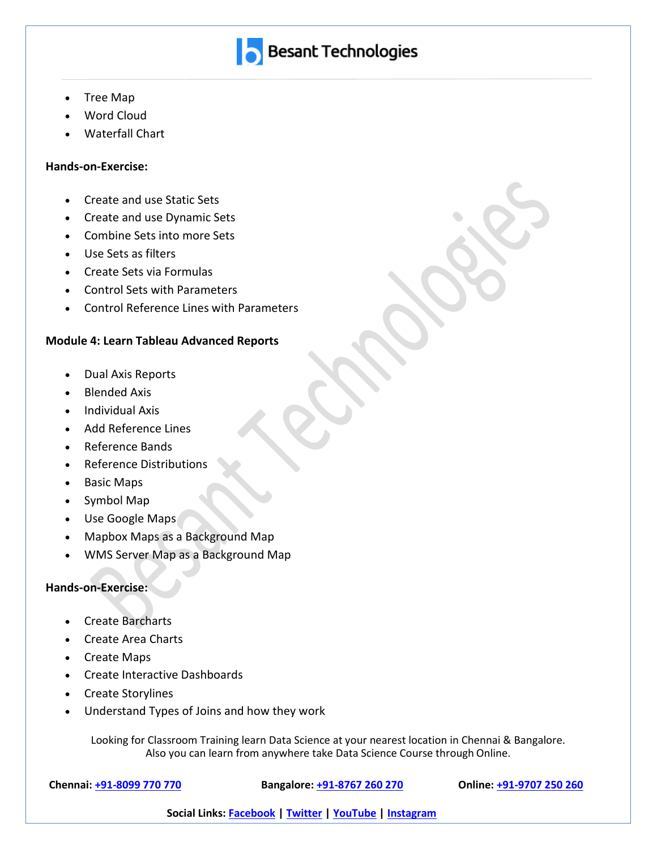

- Tree Map
- Word Cloud
- Waterfall Chart

#### **Hands-on-Exercise:**

- Create and use Static Sets
- Create and use Dynamic Sets
- Combine Sets into more Sets
- Use Sets as filters
- Create Sets via Formulas
- Control Sets with Parameters
- Control Reference Lines with Parameters

#### **Module 4: Learn Tableau Advanced Reports**

- Dual Axis Reports
- Blended Axis
- Individual Axis
- Add Reference Lines
- Reference Bands
- Reference Distributions
- Basic Maps
- Symbol Map
- Use Google Maps
- Mapbox Maps as a Background Map
- WMS Server Map as a Background Map

#### **Hands-on-Exercise:**

- Create Barcharts
- Create Area Charts
- Create Maps
- Create Interactive Dashboards
- Create Storylines
- Understand Types of Joins and how they work

Looking for Classroom Training learn Data Science at your nearest location in Chennai & Bangalore. Also you can learn from anywhere take Data Science Course through Online.

**Chennai: +91-8099 770 770 Bangalore: +91-8767 260 270 Online: +91-9707 250 260**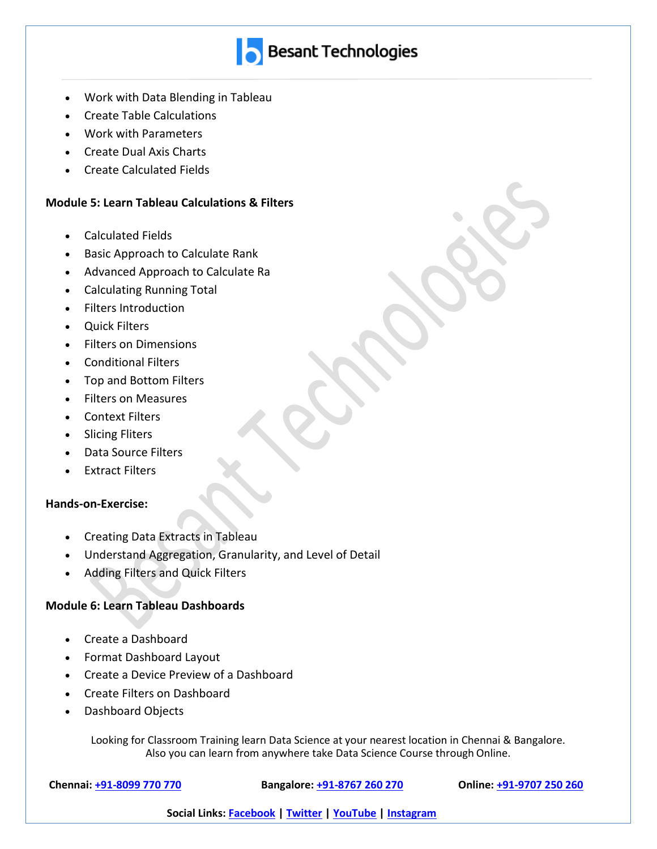

- Work with Data Blending in Tableau
- Create Table Calculations
- Work with Parameters
- Create Dual Axis Charts
- Create Calculated Fields

#### **Module 5: Learn Tableau Calculations & Filters**

- Calculated Fields
- Basic Approach to Calculate Rank
- Advanced Approach to Calculate Ra
- Calculating Running Total
- Filters Introduction
- Quick Filters
- Filters on Dimensions
- Conditional Filters
- Top and Bottom Filters
- Filters on Measures
- Context Filters
- Slicing Fliters
- Data Source Filters
- Extract Filters

#### **Hands-on-Exercise:**

- Creating Data Extracts in Tableau
- Understand Aggregation, Granularity, and Level of Detail
- Adding Filters and Quick Filters

# **Module 6: Learn Tableau Dashboards**

- Create a Dashboard
- Format Dashboard Layout
- Create a Device Preview of a Dashboard
- Create Filters on Dashboard
- Dashboard Objects

Looking for Classroom Training learn Data Science at your nearest location in Chennai & Bangalore. Also you can learn from anywhere take Data Science Course through Online.

**Chennai: +91-8099 770 770 Bangalore: +91-8767 260 270 Online: +91-9707 250 260**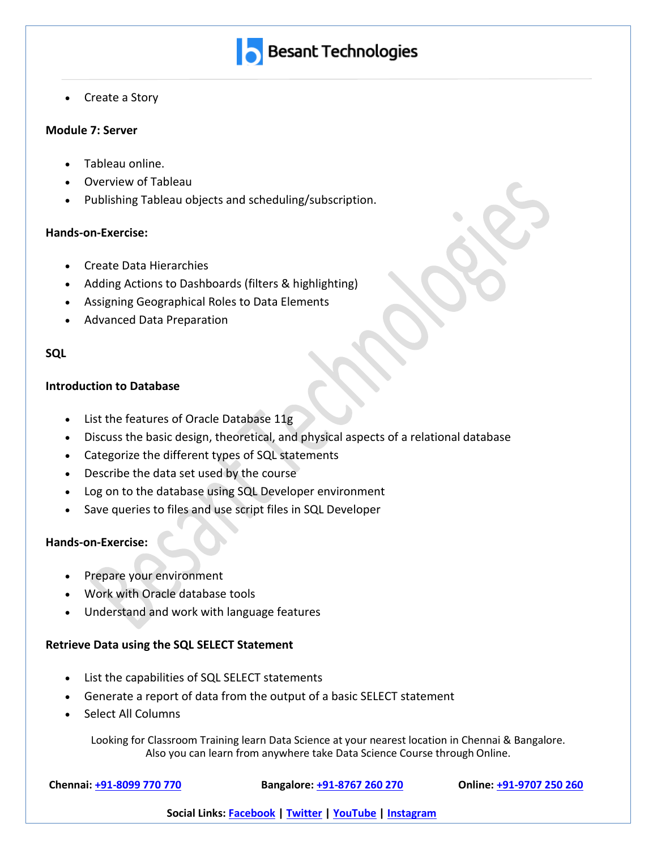

• Create a Story

#### **Module 7: Server**

- Tableau online.
- Overview of Tableau
- Publishing Tableau objects and scheduling/subscription.

#### **Hands-on-Exercise:**

- Create Data Hierarchies
- Adding Actions to Dashboards (filters & highlighting)
- Assigning Geographical Roles to Data Elements
- Advanced Data Preparation

#### **SQL**

#### **Introduction to Database**

- List the features of Oracle Database 11g
- Discuss the basic design, theoretical, and physical aspects of a relational database
- Categorize the different types of SQL statements
- Describe the data set used by the course
- Log on to the database using SQL Developer environment
- Save queries to files and use script files in SQL Developer

#### **Hands-on-Exercise:**

- Prepare your environment
- Work with Oracle database tools
- Understand and work with language features

#### **Retrieve Data using the SQL SELECT Statement**

- List the capabilities of SQL SELECT statements
- Generate a report of data from the output of a basic SELECT statement
- Select All Columns

Looking for Classroom Training learn Data Science at your nearest location in Chennai & Bangalore. Also you can learn from anywhere take Data Science Course through Online.

**Chennai: +91-8099 770 770 Bangalore: +91-8767 260 270 Online: +91-9707 250 260**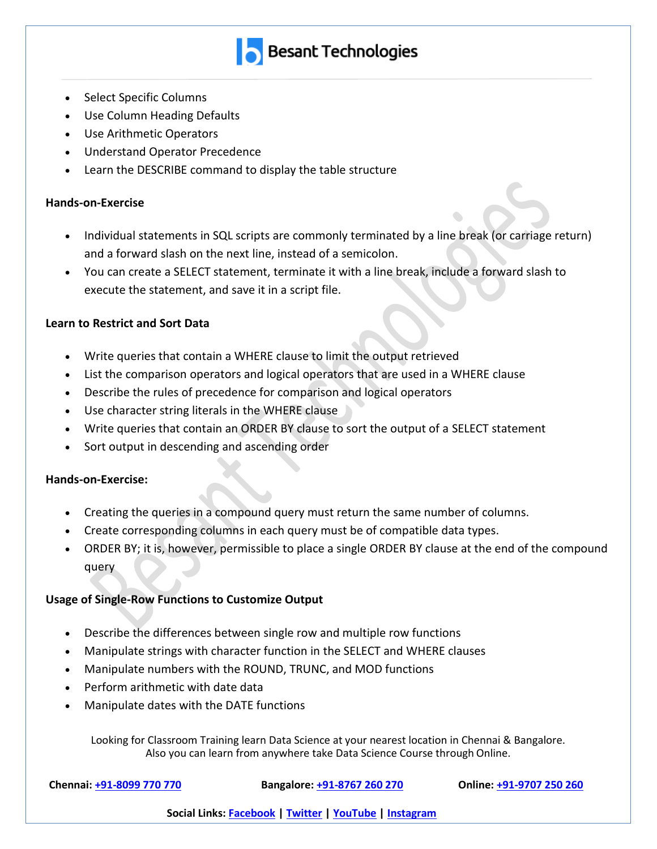

- Select Specific Columns
- Use Column Heading Defaults
- Use Arithmetic Operators
- Understand Operator Precedence
- Learn the DESCRIBE command to display the table structure

#### **Hands-on-Exercise**

- Individual statements in SQL scripts are commonly terminated by a line break (or carriage return) and a forward slash on the next line, instead of a semicolon.
- You can create a SELECT statement, terminate it with a line break, include a forward slash to execute the statement, and save it in a script file.

#### **Learn to Restrict and Sort Data**

- Write queries that contain a WHERE clause to limit the output retrieved
- List the comparison operators and logical operators that are used in a WHERE clause
- Describe the rules of precedence for comparison and logical operators
- Use character string literals in the WHERE clause
- Write queries that contain an ORDER BY clause to sort the output of a SELECT statement
- Sort output in descending and ascending order

# **Hands-on-Exercise:**

- Creating the queries in a compound query must return the same number of columns.
- Create corresponding columns in each query must be of compatible data types.
- ORDER BY; it is, however, permissible to place a single ORDER BY clause at the end of the compound query

# **Usage of Single-Row Functions to Customize Output**

- Describe the differences between single row and multiple row functions
- Manipulate strings with character function in the SELECT and WHERE clauses
- Manipulate numbers with the ROUND, TRUNC, and MOD functions
- Perform arithmetic with date data
- Manipulate dates with the DATE functions

Looking for Classroom Training learn Data Science at your nearest location in Chennai & Bangalore. Also you can learn from anywhere take Data Science Course through Online.

**Chennai: +91-8099 770 770 Bangalore: +91-8767 260 270 Online: +91-9707 250 260**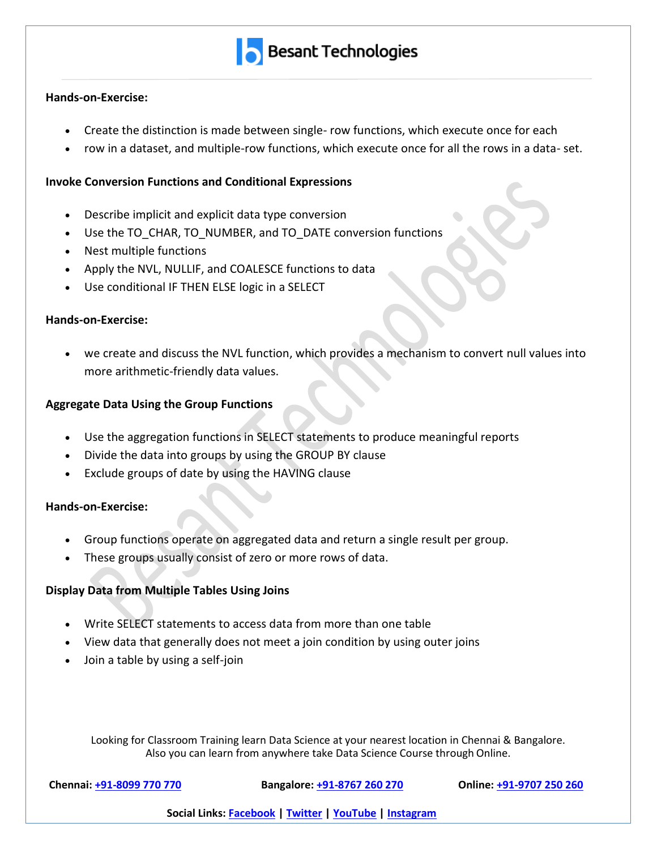#### **Hands-on-Exercise:**

- Create the distinction is made between single- row functions, which execute once for each
- row in a dataset, and multiple-row functions, which execute once for all the rows in a data- set.

### **Invoke Conversion Functions and Conditional Expressions**

- Describe implicit and explicit data type conversion
- Use the TO\_CHAR, TO\_NUMBER, and TO\_DATE conversion functions
- Nest multiple functions
- Apply the NVL, NULLIF, and COALESCE functions to data
- Use conditional IF THEN ELSE logic in a SELECT

#### **Hands-on-Exercise:**

• we create and discuss the NVL function, which provides a mechanism to convert null values into more arithmetic-friendly data values.

# **Aggregate Data Using the Group Functions**

- Use the aggregation functions in SELECT statements to produce meaningful reports
- Divide the data into groups by using the GROUP BY clause
- Exclude groups of date by using the HAVING clause

# **Hands-on-Exercise:**

- Group functions operate on aggregated data and return a single result per group.
- These groups usually consist of zero or more rows of data.

# **Display Data from Multiple Tables Using Joins**

- Write SELECT statements to access data from more than one table
- View data that generally does not meet a join condition by using outer joins
- Join a table by using a self-join

Looking for Classroom Training learn Data Science at your nearest location in Chennai & Bangalore. Also you can learn from anywhere take Data Science Course through Online.

**Chennai: +91-8099 770 770 Bangalore: +91-8767 260 270 Online: +91-9707 250 260**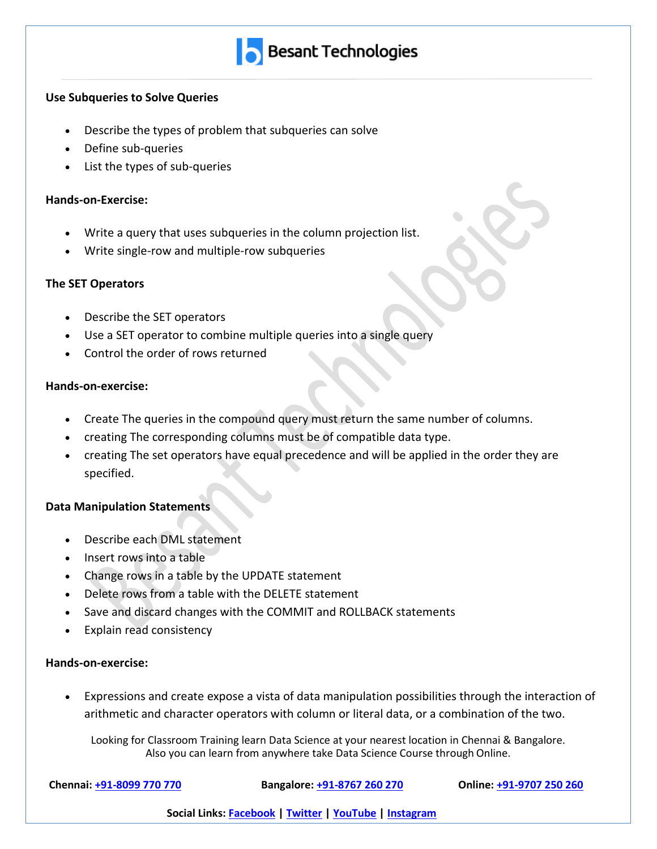

#### **Use Subqueries to Solve Queries**

- Describe the types of problem that subqueries can solve
- Define sub-queries
- List the types of sub-queries

#### **Hands-on-Exercise:**

- Write a query that uses subqueries in the column projection list.
- Write single-row and multiple-row subqueries

#### **The SET Operators**

- Describe the SET operators
- Use a SET operator to combine multiple queries into a single query
- Control the order of rows returned

#### **Hands-on-exercise:**

- Create The queries in the compound query must return the same number of columns.
- creating The corresponding columns must be of compatible data type.
- creating The set operators have equal precedence and will be applied in the order they are specified.

#### **Data Manipulation Statements**

- Describe each DML statement
- Insert rows into a table
- Change rows in a table by the UPDATE statement
- Delete rows from a table with the DELETE statement
- Save and discard changes with the COMMIT and ROLLBACK statements
- Explain read consistency

#### **Hands-on-exercise:**

• Expressions and create expose a vista of data manipulation possibilities through the interaction of arithmetic and character operators with column or literal data, or a combination of the two.

Looking for Classroom Training learn Data Science at your nearest location in Chennai & Bangalore. Also you can learn from anywhere take Data Science Course through Online.

**Chennai: +91-8099 770 770 Bangalore: +91-8767 260 270 Online: +91-9707 250 260**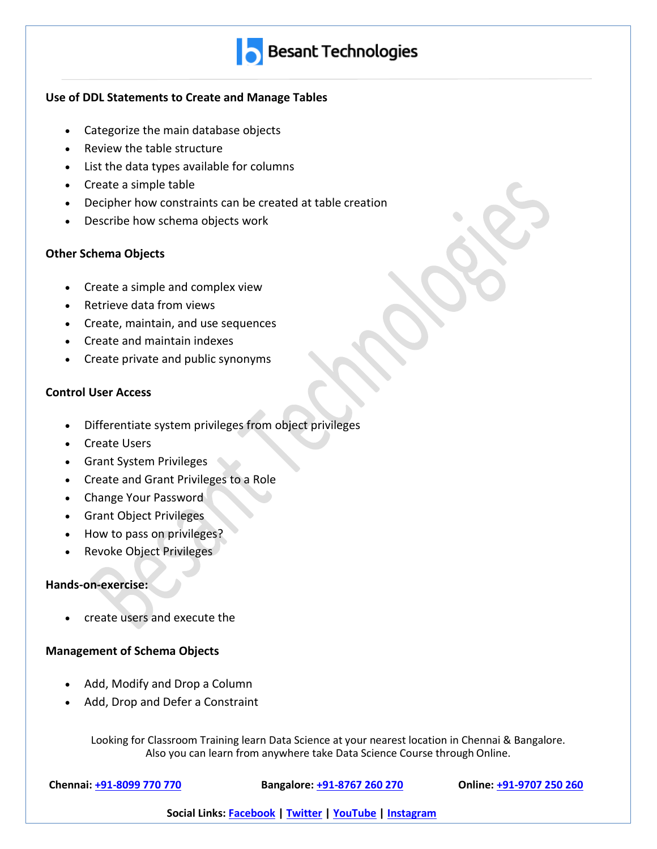

# **Use of DDL Statements to Create and Manage Tables**

- Categorize the main database objects
- Review the table structure
- List the data types available for columns
- Create a simple table
- Decipher how constraints can be created at table creation
- Describe how schema objects work

# **Other Schema Objects**

- Create a simple and complex view
- Retrieve data from views
- Create, maintain, and use sequences
- Create and maintain indexes
- Create private and public synonyms

# **Control User Access**

- Differentiate system privileges from object privileges
- Create Users
- Grant System Privileges
- Create and Grant Privileges to a Role
- Change Your Password
- Grant Object Privileges
- How to pass on privileges?
- Revoke Object Privileges

# **Hands-on-exercise:**

• create users and execute the

# **Management of Schema Objects**

- Add, Modify and Drop a Column
- Add, Drop and Defer a Constraint

Looking for Classroom Training learn Data Science at your nearest location in Chennai & Bangalore. Also you can learn from anywhere take Data Science Course through Online.

**Chennai: +91-8099 770 770 Bangalore: +91-8767 260 270 Online: +91-9707 250 260**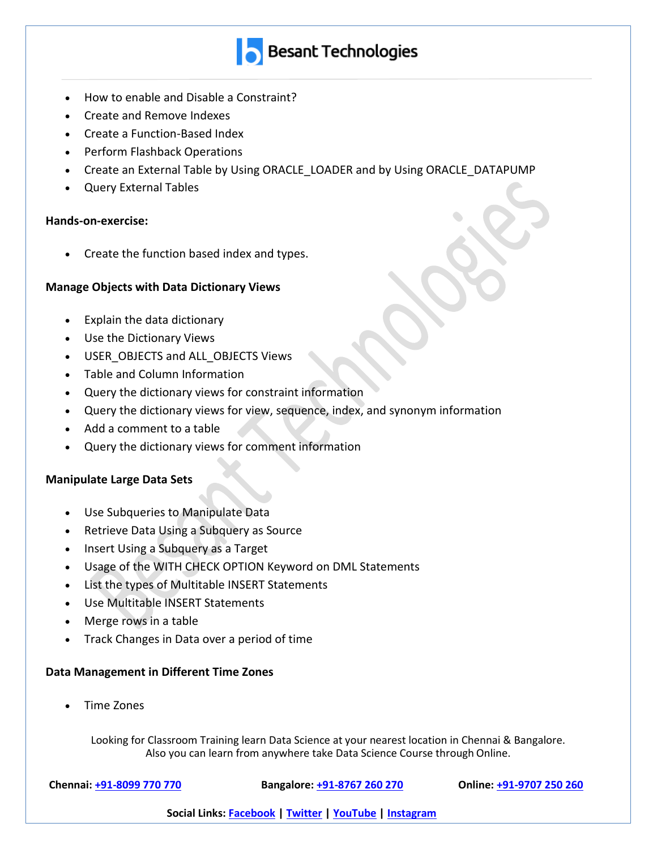

- How to enable and Disable a Constraint?
- Create and Remove Indexes
- Create a Function-Based Index
- Perform Flashback Operations
- Create an External Table by Using ORACLE LOADER and by Using ORACLE DATAPUMP
- Query External Tables

#### **Hands-on-exercise:**

• Create the function based index and types.

#### **Manage Objects with Data Dictionary Views**

- Explain the data dictionary
- Use the Dictionary Views
- USER\_OBJECTS and ALL\_OBJECTS Views
- Table and Column Information
- Query the dictionary views for constraint information
- Query the dictionary views for view, sequence, index, and synonym information
- Add a comment to a table
- Query the dictionary views for comment information

#### **Manipulate Large Data Sets**

- Use Subqueries to Manipulate Data
- Retrieve Data Using a Subquery as Source
- Insert Using a Subquery as a Target
- Usage of the WITH CHECK OPTION Keyword on DML Statements
- List the types of Multitable INSERT Statements
- Use Multitable INSERT Statements
- Merge rows in a table
- Track Changes in Data over a period of time

#### **Data Management in Different Time Zones**

• Time Zones

Looking for Classroom Training learn Data Science at your nearest location in Chennai & Bangalore. Also you can learn from anywhere take Data Science Course through Online.

**Chennai: +91-8099 770 770 Bangalore: +91-8767 260 270 Online: +91-9707 250 260**